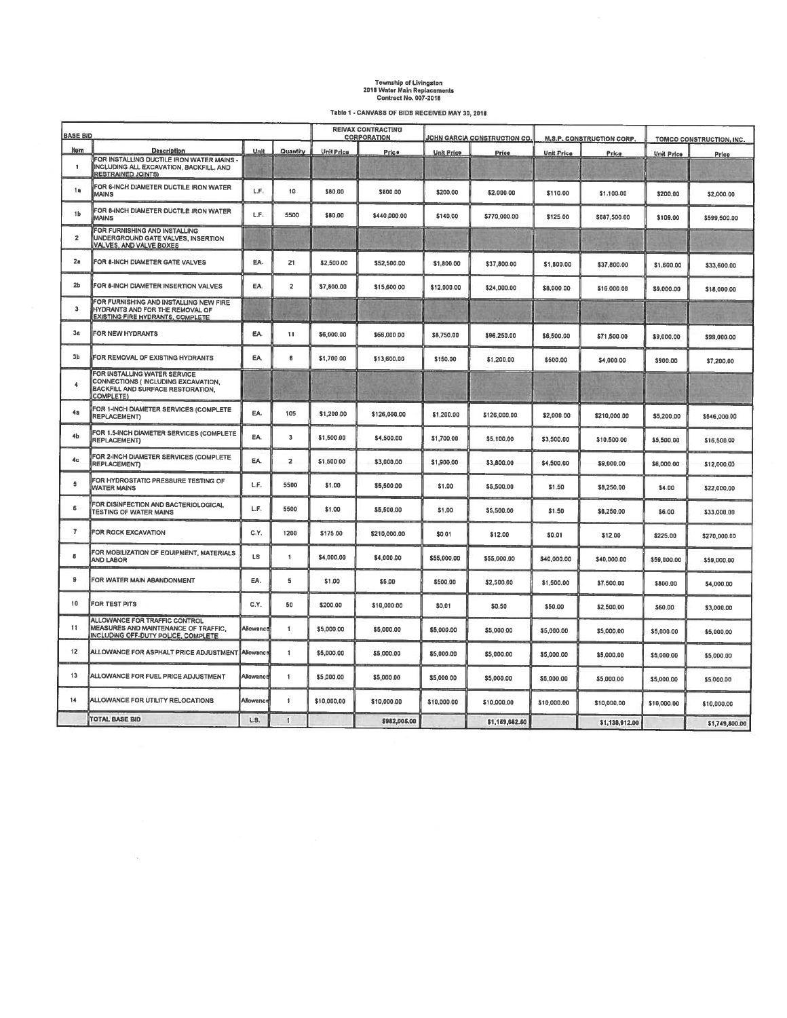## Township of Livingston<br>2018 Water Main Replacements<br>Contract No. 007-2018

Table 1 - CANVASS OF BIDS RECEIVED MAY 30, 2018

|                         | <b>BASE BID</b>                                                                                                      |           |                         |                   | <b>REIVAX CONTRACTING</b><br><b>CORPORATION</b> |                   | JOHN GARCIA CONSTRUCTION CO. |                   | <b>M.S.P. CONSTRUCTION CORP.</b> |                   | TOMCO CONSTRUCTION, INC. |  |
|-------------------------|----------------------------------------------------------------------------------------------------------------------|-----------|-------------------------|-------------------|-------------------------------------------------|-------------------|------------------------------|-------------------|----------------------------------|-------------------|--------------------------|--|
| <b>Hom</b>              | <b>Description</b>                                                                                                   | Unit      | Quantity                | <b>Unit Price</b> | Price                                           | <b>Unit Price</b> |                              | <b>Unit Price</b> |                                  |                   |                          |  |
| 1                       | FOR INSTALLING DUCTILE IRON WATER MAINS<br>INCLUDING ALL EXCAVATION, BACKFILL, AND<br><b>RESTRAINED JOINTS)</b>      |           |                         |                   |                                                 |                   | Price                        |                   | Price                            | <b>Unit Price</b> | Price                    |  |
| 1a                      | FOR 6-INCH DIAMETER DUCTILE IRON WATER<br><b>MAINS</b>                                                               | L.F.      | 10                      | \$80,00           | \$800.00                                        | \$200.00          | \$2,000.00                   | \$110.00          | \$1,100.00                       | \$200.00          | \$2,000.00               |  |
| 1b                      | FOR 8-INCH DIAMETER DUCTILE IRON WATER<br><b>MAINS</b>                                                               | L.F.      | 5500                    | \$80.00           | \$440,000.00                                    | \$140.00          | \$770,000.00                 | \$125.00          | \$687,500.00                     | \$109.00          | \$599,500.00             |  |
| $\overline{\mathbf{z}}$ | FOR FURNISHING AND INSTALLING<br>UNDERGROUND GATE VALVES, INSERTION<br>VALVES, AND VALVE BOXES                       |           |                         |                   |                                                 |                   |                              |                   |                                  |                   |                          |  |
| 2a                      | FOR 8-INCH DIAMETER GATE VALVES                                                                                      | EA.       | 21                      | \$2,500.00        | \$52,500.00                                     | \$1,800.00        | \$37,800.00                  | \$1,800.00        | \$37,800.00                      | \$1,600.00        | \$33,600.00              |  |
| 2 <sub>b</sub>          | FOR 8-INCH DIAMETER INSERTION VALVES                                                                                 | EA.       | $\overline{\mathbf{2}}$ | \$7,800.00        | \$15,600.00                                     | \$12,000.00       | \$24,000.00                  | \$8,000.00        | \$16,000.00                      | \$9,000.00        | \$18,000.00              |  |
| 3                       | FOR FURNISHING AND INSTALLING NEW FIRE<br>HYDRANTS AND FOR THE REMOVAL OF<br><b>EXISTING FIRE HYDRANTS, COMPLETE</b> |           |                         |                   |                                                 |                   |                              |                   |                                  |                   |                          |  |
| 3a                      | FOR NEW HYDRANTS                                                                                                     | EA.       | 11                      | \$6,000.00        | \$66,000,00                                     | \$8,750.00        | \$96,250.00                  | \$6,500.00        | \$71,500.00                      | \$9,000.00        | \$99,000.00              |  |
| 3b                      | FOR REMOVAL OF EXISTING HYDRANTS                                                                                     | EA.       | 8                       | \$1,700.00        | \$13,600.00                                     | \$150.00          | \$1,200.00                   | \$500,00          | \$4,000.00                       | \$900.00          | \$7,200.00               |  |
| 4                       | FOR INSTALLING WATER SERVICE<br>CONNECTIONS (INCLUDING EXCAVATION,<br>BACKFILL AND SURFACE RESTORATION,<br>COMPLETE) |           |                         |                   |                                                 |                   |                              |                   |                                  |                   |                          |  |
| 4a                      | FOR 1-INCH DIAMETER SERVICES (COMPLETE<br><b>REPLACEMENT</b>                                                         | EA.       | 105                     | \$1,200.00        | \$126,000.00                                    | \$1,200.00        | \$126,000.00                 | \$2,000.00        | \$210,000.00                     | \$5,200.00        | \$546,000.00             |  |
| 4 <sub>b</sub>          | FOR 1.5-INCH DIAMETER SERVICES (COMPLETE<br><b>REPLACEMENT)</b>                                                      | EA.       | 3                       | \$1,500.00        | \$4,500.00                                      | \$1,700.00        | \$5,100.00                   | \$3,500.00        | \$10,500.00                      | \$5,500.00        | \$16,500.00              |  |
| 4 <sub>c</sub>          | FOR 2-INCH DIAMETER SERVICES (COMPLETE<br>REPLACEMENT)                                                               | EA.       | $\overline{2}$          | \$1,500.00        | \$3,000.00                                      | \$1,900.00        | \$3,800.00                   | \$4,500.00        | \$9,000,00                       | \$6,000.00        | \$12,000.00              |  |
| 5                       | FOR HYDROSTATIC PRESSURE TESTING OF<br><b>WATER MAINS</b>                                                            | LF.       | 5500                    | \$1.00            | \$5,500.00                                      | \$1.00            | \$5,500.00                   | \$1.50            | \$8,250.00                       | \$4.00            | \$22,000.00              |  |
| 6                       | FOR DISINFECTION AND BACTERIOLOGICAL<br><b>TESTING OF WATER MAINS</b>                                                | LF.       | 5500                    | \$1.00            | \$5,500.00                                      | \$1,00            | \$5,500.00                   | \$1.50            | \$8,250.00                       | \$6.00            | \$33,000.00              |  |
| $\overline{7}$          | FOR ROCK EXCAVATION                                                                                                  | C.Y.      | 1200                    | \$175.00          | \$210,000.00                                    | \$0,01            | \$12.00                      | \$0.01            | \$12.00                          | \$225.00          | \$270,000.00             |  |
| 8                       | FOR MOBILIZATION OF EQUIPMENT, MATERIALS<br>AND LABOR                                                                | LS        | 1                       | \$4,000.00        | \$4,000.00                                      | \$55,000.00       | \$55,000.00                  | \$40,000.00       | \$40,000.00                      | \$59,000.00       | \$59,000.00              |  |
| 9                       | FOR WATER MAIN ABANDONMENT                                                                                           | EA.       | 5                       | \$1.00            | \$5.00                                          | \$500.00          | \$2,500.00                   | \$1,500.00        | \$7,500.00                       | \$800.00          | \$4,000.00               |  |
| 10                      | FOR TEST PITS                                                                                                        | C.Y.      | 50                      | \$200.00          | \$10,000.00                                     | \$0.01            | \$0.50                       | \$50.00           | \$2,500.00                       | \$60.00           | \$3,000.00               |  |
| 11                      | ALLOWANCE FOR TRAFFIC CONTROL<br>MEASURES AND MAINTENANCE OF TRAFFIC,<br>INCLUDING OFF-DUTY POLICE, COMPLETE         | Allowancı | 1                       | \$5,000.00        | \$5,000.00                                      | \$5,000.00        | \$5,000.00                   | \$5,000.00        | \$5,000.00                       | \$5,000.00        | \$5,000.00               |  |
| 12                      | ALLOWANCE FOR ASPHALT PRICE ADJUSTMENT Allowance                                                                     |           | $\overline{1}$          | \$5,000.00        | \$5,000.00                                      | \$5,000.00        | \$5,000.00                   | \$5,000.00        | \$5,000.00                       | \$5,000.00        | \$5,000.00               |  |
| 13                      | ALLOWANCE FOR FUEL PRICE ADJUSTMENT                                                                                  | Allowance | $\overline{1}$          | \$5,000.00        | \$5,000.00                                      | \$5,000.00        | \$5,000.00                   | \$5,000.00        | \$5,000.00                       | \$5,000.00        | \$5,000.00               |  |
| 14                      | ALLOWANCE FOR UTILITY RELOCATIONS                                                                                    | Allowanc  | $\mathbf{1}$            | \$10,000.00       | \$10,000.00                                     | \$10,000.00       | \$10,000.00                  | \$10,000,00       | \$10,000.00                      | \$10,000.00       | \$10,000.00              |  |
|                         | TOTAL BASE BID                                                                                                       | LS.       | $\mathbf{1}$            |                   | \$982,005.00                                    |                   | \$1,159,662.50               |                   | \$1,138,912.00                   |                   | \$1,749,800,00           |  |

 $\mathbb{S}_\mathbb{R}$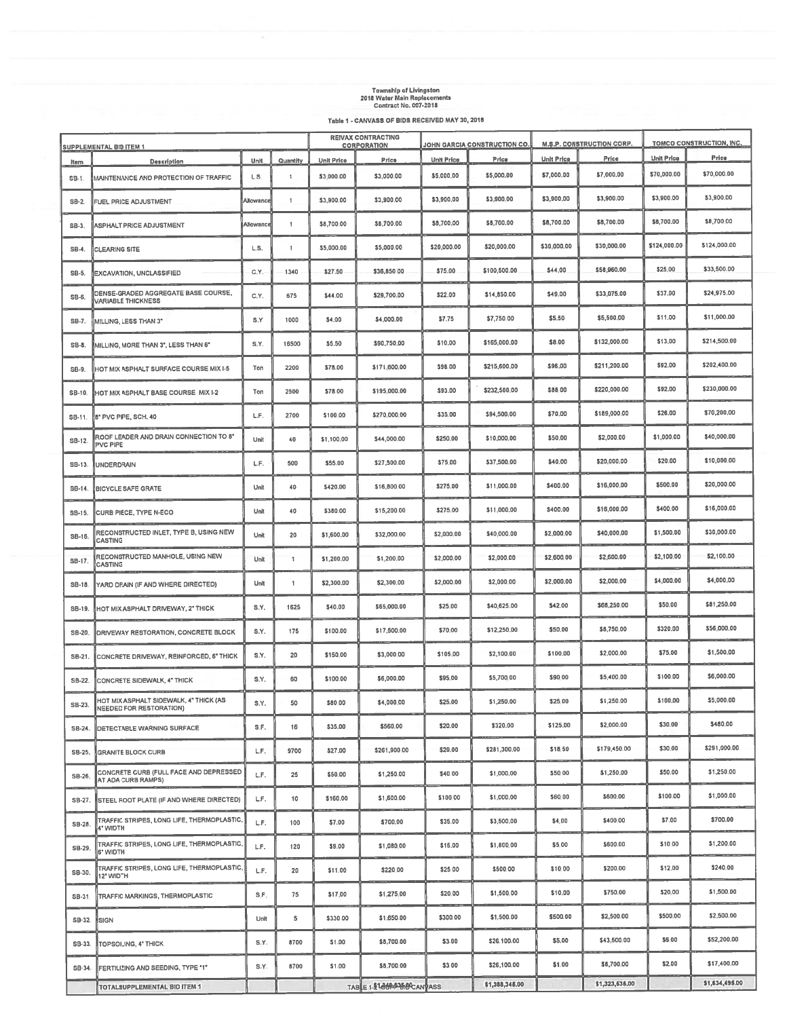## Township of Livingston<br>2018 Water Main Replacements<br>Contract No. 007-2018

Table 1 - CANVASS OF BIDS RECEIVED MAY 30, 2018

|          | <b>SUPPLEMENTAL BID ITEM 1</b>                                          |           |                      |                   | <b>REIVAX CONTRACTING</b><br><b>CORPORATION</b> |                   | JOHN GARCIA CONSTRUCTION CO. |                   | M.S.P. CONSTRUCTION CORP. |                   | TOMCO CONSTRUCTION, INC. |  |
|----------|-------------------------------------------------------------------------|-----------|----------------------|-------------------|-------------------------------------------------|-------------------|------------------------------|-------------------|---------------------------|-------------------|--------------------------|--|
| Item     | <b>Description</b>                                                      | Unit      | Quantity             | <b>Unit Price</b> | Price                                           | <b>Unit Price</b> | Price                        | <b>Unit Price</b> | Price                     | <b>Unit Price</b> | Price                    |  |
| $SB-1$ . | MAINTENANCE AND PROTECTION OF TRAFFIC                                   | L S       | $\ddot{\phantom{1}}$ | \$3,000.00        | \$3,000.00                                      | \$5,000.00        | \$5,000.00                   | \$7,000.00        | \$7,000.00                | \$70,000.00       | \$70,000.00              |  |
| $SB-2$ . | FUEL PRICE ADJUSTMENT                                                   | Allowance | $\overline{1}$       | \$3,900.00        | \$3,900.00                                      | \$3,900.00        | \$3,900.00                   | \$3,900.00        | \$3,900.00                | \$3,900.00        | \$3,900.00               |  |
| $SB-3$ . | ASPHALT PRICE ADJUSTMENT                                                | Allowance | $\mathbf{1}$         | \$8,700.00        | \$8,700.00                                      | \$8,700.00        | \$8,700.00                   | \$6,700.00        | \$8,700.00                | \$6,700.00        | \$8,700.00               |  |
| SB-4.    | <b>CLEARING SITE</b>                                                    | L.S.      | $\mathbf{1}$         | \$5,000.00        | \$5,000.00                                      | \$20,000.00       | \$20,000.00                  | \$30,000.00       | \$30,000.00               | \$124,000.00      | \$124,000.00             |  |
| SB-5.    | EXCAVATION, UNCLASSIFIED                                                | C.Y.      | 1340                 | \$27.50           | \$36,850.00                                     | \$75.00           | \$100,500.00                 | \$44.00           | \$58,960.00               | \$25,00           | \$33,500.00              |  |
| SB-6.    | <b>DENSE-GRADED AGGREGATE BASE COURSE,</b><br><b>VARIABLE THICKNESS</b> | C.Y.      | 675                  | \$44.00           | \$29,700.00                                     | \$22.00           | \$14,650.00                  | \$49.00           | \$33,075.00               | \$37.00           | \$24,975.00              |  |
| SB-7.    | MILLING, LESS THAN 3"                                                   | S.Y       | 1000                 | \$4.00            | \$4,000.00                                      | \$7.75            | \$7,750.00                   | \$5,50            | \$5,500.00                | \$11.00           | \$11,000.00              |  |
| SB-8.    | MILLING, MORE THAN 3°, LESS THAN 6°                                     | S.Y.      | 16500                | \$5.50            | \$90,750.00                                     | \$10.00           | \$165,000.00                 | \$8.00            | \$132,000.00              | \$13,00           | \$214,500.00             |  |
| SB-9.    | HOT MIX ASPHALT SURFACE COURSE MIX I-5                                  | Ton       | 2200                 | \$78.00           | \$171,600.00                                    | \$98.00           | \$215,600.00                 | \$96,00           | \$211,200.00              | \$92.00           | \$202,400.00             |  |
| SB-10    | HOT MIX ASPHALT BASE COURSE MIX 1-2                                     | Ton       | 2500                 | \$78.00           | \$195,000.00                                    | \$93.00           | \$232,500.00                 | \$88.00           | \$220,000.00              | \$92.00           | \$230,000.00             |  |
| SB-11.   | 8" PVC PIPE, SCH. 40                                                    | L.F.      | 2700                 | \$100.00          | \$270,000.00                                    | \$35.00           | \$94,500.00                  | \$70.00           | \$189,000.00              | \$26.00           | \$70,200.00              |  |
| SB-12.   | ROOF LEADER AND DRAIN CONNECTION TO 8"<br>PVC PIPE                      | Unit      | 40                   | \$1,100.00        | \$44,000.00                                     | \$250.00          | \$10,000.00                  | \$50.00           | \$2,000.00                | \$1,000.00        | \$40,000.00              |  |
| SB-13.   | <b>UNDERDRAIN</b>                                                       | L.F.      | 500                  | \$55.00           | \$27,500.00                                     | \$75.00           | \$37,500.00                  | \$40.00           | \$20,000.00               | \$20.00           | \$10,000.00              |  |
| SB-14.   | <b>BICYCLE SAFE GRATE</b>                                               | Unit      | 40                   | \$420.00          | \$16,800.00                                     | \$275.00          | \$11,000.00                  | \$400.00          | \$16,000.00               | \$500.00          | \$20,000.00              |  |
| SB-15.   | CURB PIECE, TYPE N-ECO                                                  | Unit      | 40                   | \$380.00          | \$15,200.00                                     | \$275.00          | \$11,000.00                  | \$400.00          | \$16,000.00               | \$400.00          | \$16,000.00              |  |
| SB-16.   | RECONSTRUCTED INLET, TYPE B, USING NEW<br>CASTING                       | Unit      | 20                   | \$1,600.00        | \$32,000.00                                     | \$2,000.00        | \$40,000.00                  | \$2,000.00        | \$40,000.00               | \$1,500.00        | \$30,000.00              |  |
| SB-17.   | RECONSTRUCTED MANHOLE, USING NEW<br>CASTING                             | Unit      | $\mathbf{1}$         | \$1,200.00        | \$1,200.00                                      | \$2,000.00        | \$2,000.00                   | \$2,600.00        | \$2,600.00                | \$2,100.00        | \$2,100.00               |  |
| $SB-18$  | YARD DRAIN (IF AND WHERE DIRECTED)                                      | Unit      | 1                    | \$2,300.00        | \$2,300.00                                      | \$2,000.00        | \$2,000.00                   | \$2,000.00        | \$2,000.00                | \$4,000.00        | \$4,000.00               |  |
| SB-19.   | HOT MIX ASPHALT DRIVEWAY, 2" THICK                                      | S.Y.      | 1625                 | \$40.00           | \$65,000.00                                     | \$25.00           | \$40,625.00                  | \$42.00           | \$68,250.00               | \$50.00           | \$81,250.00              |  |
| SB-20.   | <b>DRIVEWAY RESTORATION, CONCRETE BLOCK</b>                             | S.Y.      | 175                  | \$100.00          | \$17,500.00                                     | \$70.00           | \$12,250.00                  | \$50.00           | \$6,750.00                | \$320.00          | \$56,000.00              |  |
| SB-21.   | CONCRETE DRIVEWAY, REINFORCED, 6° THICK                                 | S.Y.      | 20                   | \$150.00          | \$3,000.00                                      | \$105.00          | \$2,100.00                   | \$100.00          | \$2,000.00                | \$75.00           | \$1,500.00               |  |
| SB-22.   | CONCRETE SIDEWALK, 4" THICK                                             | S.Y.      | 60                   | \$100.00          | \$6,000.00                                      | \$95.00           | \$5,700.00                   | \$90.00           | \$5,400.00                | \$100.00          | \$6,000.00               |  |
| SB-23.   | HOT MIX ASPHALT SIDEWALK, 4" THICK (AS<br>NEEDED FOR RESTORATION)       | S.Y.      | 50                   | \$80.00           | \$4,000.00                                      | \$25.00           | \$1,250.00                   | \$25.00           | \$1,250.00                | \$100.00          | \$5,000.00               |  |
| SB-24.   | <b>DETECTABLE WARNING SURFACE</b>                                       | S.F.      | 16                   | \$35.00           | \$560,00                                        | \$20.00           | \$320.00                     | \$125.00          | \$2,000.00                | \$30.00           | \$480.00                 |  |
| SB-25.   | <b>GRANITE BLOCK CURB</b>                                               | L.F.      | 9700                 | \$27.00           | \$261,900.00                                    | \$29.00           | \$281,300.00                 | \$18.50           | \$179,450.00              | \$30.00           | \$291,000.00             |  |
| SB-26.   | CONCRETE CURB (FULL FACE AND DEPRESSED<br>AT ADA CURB RAMPS)            | L.F.      | 25                   | \$50.00           | \$1,250.00                                      | \$40.00           | \$1,000.00                   | \$50.00           | \$1,250.00                | \$50.00           | \$1,250.00               |  |
| SB-27.   | STEEL ROOT PLATE (IF AND WHERE DIRECTED)                                | L.F.      | 10                   | \$160.00          | \$1,600.00                                      | \$100.00          | \$1,000.00                   | \$60.00           | \$600,00                  | \$100.00          | \$1,000.00               |  |
| SB-28.   | TRAFFIC STRIPES, LONG LIFE, THERMOPLASTIC,<br><b>I'</b> WIDTH           | L.F.      | 100                  | \$7.00            | \$700,00                                        | \$35.00           | \$3,500.00                   | \$4.00            | \$400.00                  | \$7.00            | \$700.00                 |  |
| SB-29.   | TRAFFIC STRIPES, LONG LIFE, THERMOPLASTIC,<br>6" WIDTH                  | L.F.      | 120                  | \$9.00            | \$1,080.00                                      | \$15.00           | \$1,800.00                   | \$5.00            | \$600.00                  | \$10.00           | \$1,200.00               |  |
| SB-30.   | TRAFFIC STRIPES, LONG LIFE, THERMOPLASTIC,<br>12° WIDTH                 | L.F.      | 20                   | \$11.00           | \$220.00                                        | \$25.00           | \$500.00                     | \$10.00           | \$200,00                  | \$12.00           | \$240.00                 |  |
| SB-31    | TRAFFIC MARKINGS, THERMOPLASTIC                                         | S.F.      | 75                   | \$17.00           | \$1,275.00                                      | \$20.00           | \$1,500.00                   | \$10.00           | \$750.00                  | \$20.00           | \$1,500.00               |  |
| $SB-32$  | <b>SIGN</b>                                                             | Unit      | 5                    | \$330.00          | \$1,650.00                                      | \$300.00          | \$1,500.00                   | \$500.00          | \$2,500.00                | \$500.00          | \$2,500.00               |  |
| SB-33    | TOPSOILING, 4" THICK                                                    | S.Y.      | 8700                 | \$1.00            | \$8,700.00                                      | \$3.00            | \$26,100.00                  | \$5.00            | \$43,500.00               | \$6.00            | \$52,200.00              |  |
| SB-34.   | FERTILIZING AND SEEDING, TYPE *1"                                       | S.Y.      | 6700                 | \$1.00            | \$8,700.00                                      | \$3.00            | \$26,100.00                  | \$1.00            | \$6,700.00                | \$2.00            | \$17,400.00              |  |
|          | <b>TOTALSUPPLEMENTAL BID ITEM 1</b>                                     |           |                      |                   | TABLE 1-21-00PP BOCANYASS                       |                   | \$1,388,345.00               |                   | \$1,323,535.00            |                   | \$1,634,495.00           |  |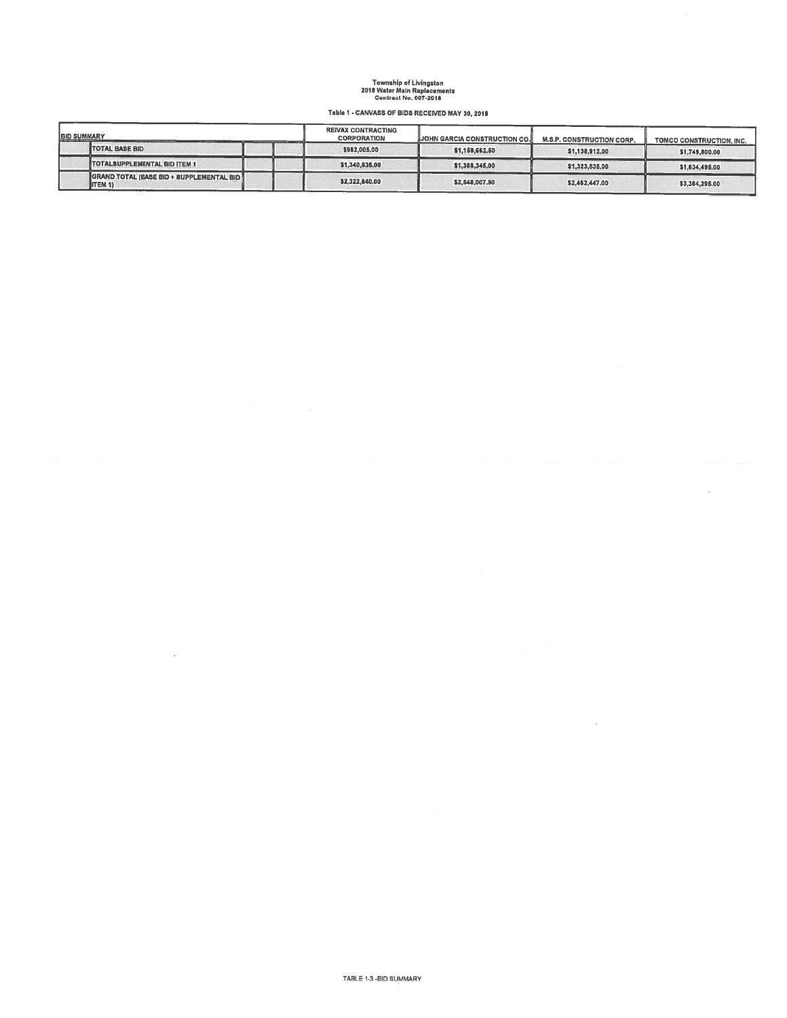## Township of Livingston<br>2018 Water Main Replacements<br>Contract No. 007-2018

Table I - CANVASS OF BIDS RECEIVED MAY 30,2018

| <b>IBID SUMMARY</b> | <b>CHECK COMMERCIAL COM</b><br><b><i><u>A Report Follows Contract Contract Contract Contract Contract Contract Contract Contract Contract Contract Contract Contract Contract Contract Contract Contract Contract Contract Contract Contract Contract Contract Cont</u></i></b> | <b>REIVAX CONTRACTING</b><br><b>CORPORATION</b> | <b>JUIN GARCIA CONSTRUCTION CO.</b> | <b>M.S.P. CONSTRUCTION CORP.</b> | TOMCO CONSTRUCTION, INC. |  |
|---------------------|---------------------------------------------------------------------------------------------------------------------------------------------------------------------------------------------------------------------------------------------------------------------------------|-------------------------------------------------|-------------------------------------|----------------------------------|--------------------------|--|
|                     | <b>TOTAL BASE BID</b>                                                                                                                                                                                                                                                           | \$982,005,00                                    | \$1,159,662.50                      | \$1,138,912,00                   | \$1,749,800.00           |  |
|                     | <b>TOTALSUPPLEMENTAL BID ITEM 1</b>                                                                                                                                                                                                                                             | \$1,340,635,00                                  | \$1,388,345,00                      | \$1,323,535.00                   | \$1,634,495,00           |  |
|                     | GRAND TOTAL (BASE BID + SUPPLEMENTAL BID)<br>ITEM 1)                                                                                                                                                                                                                            | \$2,322,640,00                                  | \$2,548,007.50                      | \$2,462,447.00                   | \$3,384,295.00           |  |

ä

 $\mathcal{C}^{\mathcal{C}}_{\mathcal{A}}$  .